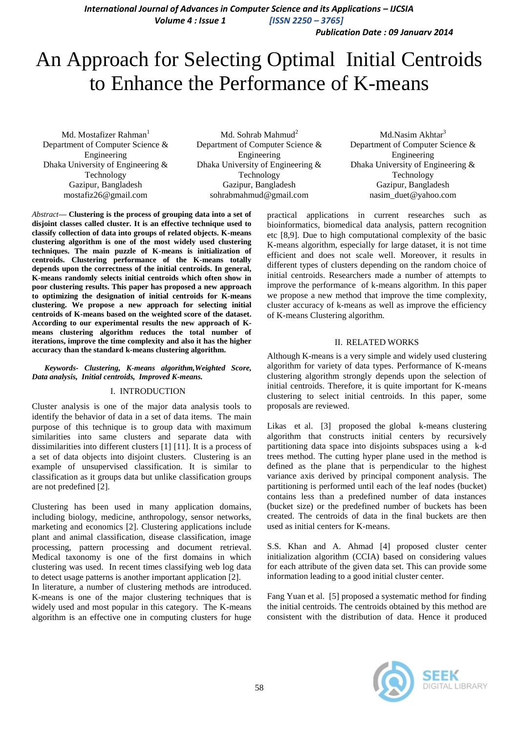*International Journal of Advances in Computer Science and its Applications – IJCSIA Volume 4 : Issue 1 [ISSN 2250 – 3765]*

*Publication Date : 09 January 2014*

# An Approach for Selecting Optimal Initial Centroids to Enhance the Performance of K-means

Md. Mostafizer Rahman<sup>1</sup> Department of Computer Science & Engineering Dhaka University of Engineering & Technology Gazipur, Bangladesh mostafiz26@gmail.com

Md. Sohrab Mahmud $<sup>2</sup>$ </sup> Department of Computer Science & Engineering Dhaka University of Engineering & Technology Gazipur, Bangladesh sohrabmahmud@gmail.com

Md.Nasim Akhtar<sup>3</sup> Department of Computer Science & Engineering Dhaka University of Engineering & Technology Gazipur, Bangladesh nasim\_duet@yahoo.com

*Abstract***— Clustering is the process of grouping data into a set of disjoint classes called cluster. It is an effective technique used to classify collection of data into groups of related objects. K-means clustering algorithm is one of the most widely used clustering techniques. The main puzzle of K-means is initialization of centroids. Clustering performance of the K-means totally depends upon the correctness of the initial centroids. In general, K-means randomly selects initial centroids which often show in poor clustering results. This paper has proposed a new approach to optimizing the designation of initial centroids for K-means clustering. We propose a new approach for selecting initial centroids of K-means based on the weighted score of the dataset. According to our experimental results the new approach of Kmeans clustering algorithm reduces the total number of iterations, improve the time complexity and also it has the higher accuracy than the standard k-means clustering algorithm.**

## *Keywords- Clustering, K-means algorithm,Weighted Score, Data analysis, Initial centroids, Improved K-means.*

## I. INTRODUCTION

Cluster analysis is one of the major data analysis tools to identify the behavior of data in a set of data items. The main purpose of this technique is to group data with maximum similarities into same clusters and separate data with dissimilarities into different clusters [1] [11]. It is a process of a set of data objects into disjoint clusters. Clustering is an example of unsupervised classification. It is similar to classification as it groups data but unlike classification groups are not predefined [2].

Clustering has been used in many application domains, including biology, medicine, anthropology, sensor networks, marketing and economics [2]. Clustering applications include plant and animal classification, disease classification, image processing, pattern processing and document retrieval. Medical taxonomy is one of the first domains in which clustering was used. In recent times classifying web log data to detect usage patterns is another important application [2].

In literature, a number of clustering methods are introduced. K-means is one of the major clustering techniques that is widely used and most popular in this category. The K-means algorithm is an effective one in computing clusters for huge practical applications in current researches such as bioinformatics, biomedical data analysis, pattern recognition etc [8,9]. Due to high computational complexity of the basic K-means algorithm, especially for large dataset, it is not time efficient and does not scale well. Moreover, it results in different types of clusters depending on the random choice of initial centroids. Researchers made a number of attempts to improve the performance of k-means algorithm. In this paper we propose a new method that improve the time complexity, cluster accuracy of k-means as well as improve the efficiency of K-means Clustering algorithm.

#### II. RELATED WORKS

Although K-means is a very simple and widely used clustering algorithm for variety of data types. Performance of K-means clustering algorithm strongly depends upon the selection of initial centroids. Therefore, it is quite important for K-means clustering to select initial centroids. In this paper, some proposals are reviewed.

Likas et al. [3] proposed the global k-means clustering algorithm that constructs initial centers by recursively partitioning data space into disjoints subspaces using a k-d trees method. The cutting hyper plane used in the method is defined as the plane that is perpendicular to the highest variance axis derived by principal component analysis. The partitioning is performed until each of the leaf nodes (bucket) contains less than a predefined number of data instances (bucket size) or the predefined number of buckets has been created. The centroids of data in the final buckets are then used as initial centers for K-means.

S.S. Khan and A. Ahmad [4] proposed cluster center initialization algorithm (CCIA) based on considering values for each attribute of the given data set. This can provide some information leading to a good initial cluster center.

Fang Yuan et al. [5] proposed a systematic method for finding the initial centroids. The centroids obtained by this method are consistent with the distribution of data. Hence it produced

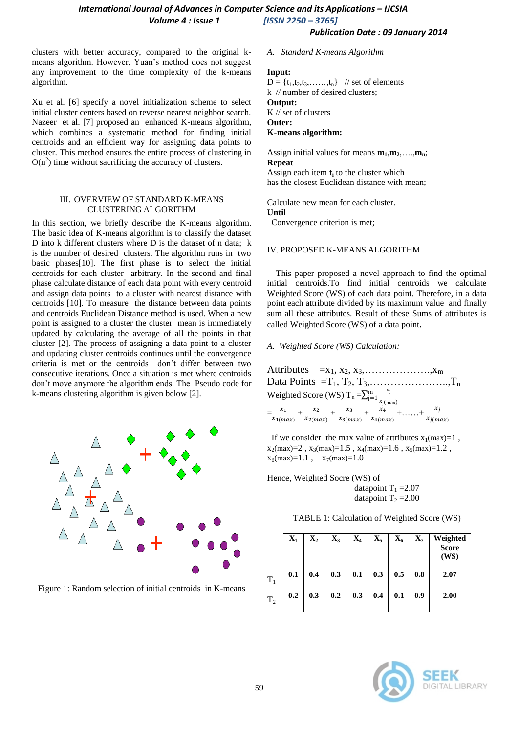# *International Journal of Advances in Computer Science and its Applications – IJCSIA Volume 4 : Issue 1 [ISSN 2250 – 3765]*

*Publication Date : 09 January 2014*

clusters with better accuracy, compared to the original kmeans algorithm. However, Yuan's method does not suggest any improvement to the time complexity of the k-means algorithm.

Xu et al. [6] specify a novel initialization scheme to select initial cluster centers based on reverse nearest neighbor search. Nazeer et al. [7] proposed an enhanced K-means algorithm, which combines a systematic method for finding initial centroids and an efficient way for assigning data points to cluster. This method ensures the entire process of clustering in  $O(n^2)$  time without sacrificing the accuracy of clusters.

# III. OVERVIEW OF STANDARD K-MEANS CLUSTERING ALGORITHM

In this section, we briefly describe the K-means algorithm. The basic idea of K-means algorithm is to classify the dataset D into k different clusters where D is the dataset of n data; k is the number of desired clusters. The algorithm runs in two basic phases[10]. The first phase is to select the initial centroids for each cluster arbitrary. In the second and final phase calculate distance of each data point with every centroid and assign data points to a cluster with nearest distance with centroids [10]. To measure the distance between data points and centroids Euclidean Distance method is used. When a new point is assigned to a cluster the cluster mean is immediately updated by calculating the average of all the points in that cluster [2]. The process of assigning a data point to a cluster and updating cluster centroids continues until the convergence criteria is met or the centroids don't differ between two consecutive iterations. Once a situation is met where centroids don't move anymore the algorithm ends. The Pseudo code for k-means clustering algorithm is given below [2].



Figure 1: Random selection of initial centroids in K-means

## *A. Standard K-means Algorithm*

# **Input:**

 $D = \{t_1, t_2, t_3, \ldots, t_n\}$  // set of elements k // number of desired clusters; **Output:** 

K // set of clusters **Outer: K-means algorithm:** 

Assign initial values for means  $m_1, m_2, \ldots, m_n$ ; **Repeat** 

Assign each item **t<sup>i</sup>** to the cluster which has the closest Euclidean distance with mean;

Calculate new mean for each cluster. **Until** 

Convergence criterion is met;

# IV. PROPOSED K-MEANS ALGORITHM

 This paper proposed a novel approach to find the optimal initial centroids.To find initial centroids we calculate Weighted Score (WS) of each data point. Therefore, in a data point each attribute divided by its maximum value and finally sum all these attributes. Result of these Sums of attributes is called Weighted Score (WS) of a data point.

# *A. Weighted Score (WS) Calculation:*

Attributes  $=x_1, x_2, x_3, \ldots, x_m$ Data Points =T1, T2, T3,…………………..,T<sup>n</sup> Weighted Score (WS)  $T_n = \sum_{j=1}^{m} \frac{x}{n-j}$  $x_j$ (max) m<br>j=  $=\frac{x}{x}$  $\frac{x_1}{x_{1(max)}} + \frac{x}{x_{2(n)}}$  $\frac{x_2}{x_{2(max)}} + \frac{x}{x_{3(r)}}$  $\frac{x_3}{x_3(max)} + \frac{x}{x_4(n)}$  $\frac{x_4}{x_{4(max)}} + \ldots + \frac{x}{x_{j(n)}}$  $\frac{x_j}{x_{j(max)}}$ 

If we consider the max value of attributes  $x_1(max)=1$ ,  $x_2(max)=2$ ,  $x_3(max)=1.5$ ,  $x_4(max)=1.6$ ,  $x_5(max)=1.2$ ,  $x_6$ (max)=1.1,  $x_7$ (max)=1.0

Hence, Weighted Socre (WS) of datapoint  $T_1 = 2.07$ datapoint  $T_2 = 2.00$ 

| TABLE 1: Calculation of Weighted Score (WS) |  |  |
|---------------------------------------------|--|--|
|---------------------------------------------|--|--|

|                | $\mathbf{X}_1$ | $\mathbf{X}_2$ | $\mathbf{X}_3$ | $\mathbf{X}_4$ | $\mathbf{X}_5$ | $\mathbf{X_6}$ | $\mathbf{X}_7$ | Weighted<br><b>Score</b><br>(WS) |
|----------------|----------------|----------------|----------------|----------------|----------------|----------------|----------------|----------------------------------|
| $T_1$          | 0.1            | 0.4            | 0.3            | 0.1            | 0.3            | 0.5            | 0.8            | 2.07                             |
| T <sub>2</sub> | 0.2            | 0.3            | 0.2            | 0.3            | 0.4            | 0.1            | 0.9            | 2.00                             |

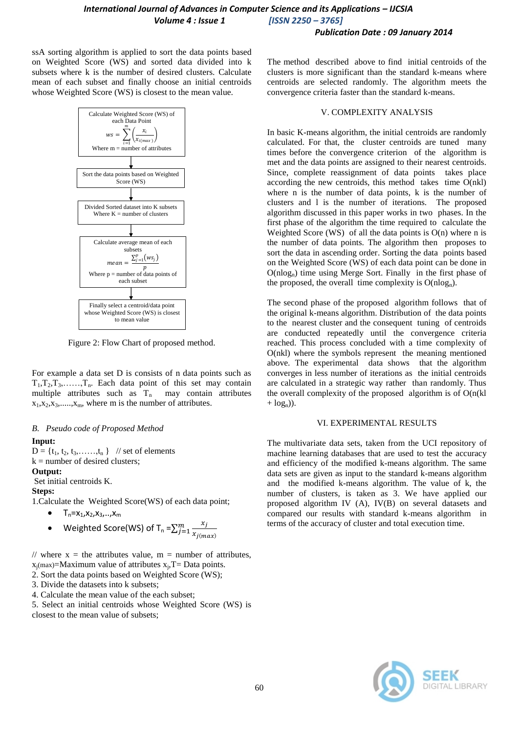# *International Journal of Advances in Computer Science and its Applications – IJCSIA Volume 4 : Issue 1 [ISSN 2250 – 3765]*

# *Publication Date : 09 January 2014*

ssA sorting algorithm is applied to sort the data points based on Weighted Score (WS) and sorted data divided into k subsets where k is the number of desired clusters. Calculate mean of each subset and finally choose an initial centroids whose Weighted Score (WS) is closest to the mean value.



Figure 2: Flow Chart of proposed method.

For example a data set D is consists of n data points such as  $T_1, T_2, T_3, \ldots, T_n$ . Each data point of this set may contain multiple attributes such as  $T_n$  may contain attributes  $x_1, x_2, x_3, \ldots, x_m$ , where m is the number of attributes.

#### *B. Pseudo code of Proposed Method*

#### **Input:**

 $D = \{t_1, t_2, t_3, \ldots, t_n\}$  // set of elements  $k =$  number of desired clusters; **Output:** 

Set initial centroids K.

# **Steps:**

1.Calculate the Weighted Score(WS) of each data point;

- $T_n = x_1, x_2, x_3, \ldots, x_m$
- Weighted Score(WS) of T<sub>n</sub> = $\sum_{i=1}^{m} \frac{x}{x+i}$  $x_{j(max)}$  $\frac{m}{j}$

// where  $x =$  the attributes value,  $m =$  number of attributes,  $x_j$ (max)=Maximum value of attributes  $x_j$ , T= Data points.

2. Sort the data points based on Weighted Score (WS);

- 3. Divide the datasets into k subsets;
- 4. Calculate the mean value of the each subset;

5. Select an initial centroids whose Weighted Score (WS) is closest to the mean value of subsets;

The method described above to find initial centroids of the clusters is more significant than the standard k-means where centroids are selected randomly. The algorithm meets the convergence criteria faster than the standard k-means.

# V. COMPLEXITY ANALYSIS

In basic K-means algorithm, the initial centroids are randomly calculated. For that, the cluster centroids are tuned many times before the convergence criterion of the algorithm is met and the data points are assigned to their nearest centroids. Since, complete reassignment of data points takes place according the new centroids, this method takes time O(nkl) where n is the number of data points, k is the number of clusters and l is the number of iterations. The proposed algorithm discussed in this paper works in two phases. In the first phase of the algorithm the time required to calculate the Weighted Score (WS) of all the data points is  $O(n)$  where n is the number of data points. The algorithm then proposes to sort the data in ascending order. Sorting the data points based on the Weighted Score (WS) of each data point can be done in  $O(n \log_n)$  time using Merge Sort. Finally in the first phase of the proposed, the overall time complexity is  $O(n \log_n)$ .

The second phase of the proposed algorithm follows that of the original k-means algorithm. Distribution of the data points to the nearest cluster and the consequent tuning of centroids are conducted repeatedly until the convergence criteria reached. This process concluded with a time complexity of O(nkl) where the symbols represent the meaning mentioned above. The experimental data shows that the algorithm converges in less number of iterations as the initial centroids are calculated in a strategic way rather than randomly. Thus the overall complexity of the proposed algorithm is of  $O(n(k))$  $+$  log<sub>n</sub>)).

## VI. EXPERIMENTAL RESULTS

The multivariate data sets, taken from the UCI repository of machine learning databases that are used to test the accuracy and efficiency of the modified k-means algorithm. The same data sets are given as input to the standard k-means algorithm and the modified k-means algorithm. The value of k, the number of clusters, is taken as 3. We have applied our proposed algorithm IV (A), IV(B) on several datasets and compared our results with standard k-means algorithm in terms of the accuracy of cluster and total execution time.

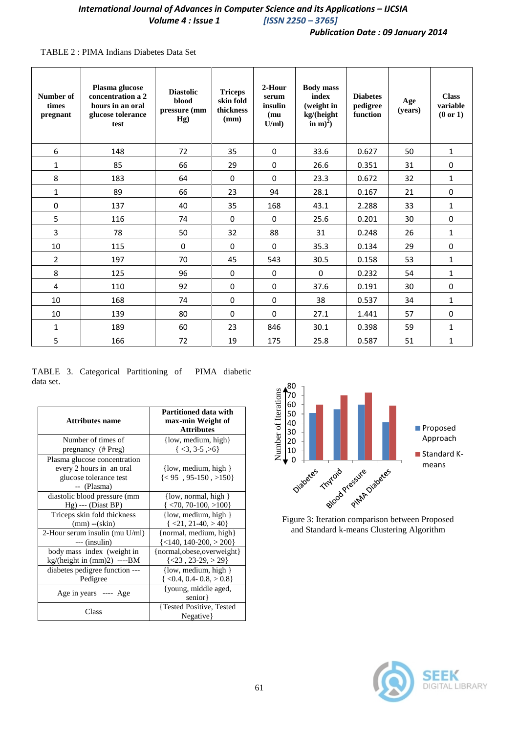# *International Journal of Advances in Computer Science and its Applications - IJCSIA Volume 4 : Issue 1 [ISSN 2250 – 3765]*

# *Publication Date : 09 January 2014*

# TABLE 2 : PIMA Indians Diabetes Data Set

| Number of<br>times<br>pregnant | Plasma glucose<br>concentration a 2<br>hours in an oral<br>glucose tolerance<br>test | <b>Diastolic</b><br>blood<br>pressure (mm<br>Hg) | <b>Triceps</b><br>skin fold<br>thickness<br>(mm) | 2-Hour<br>serum<br>insulin<br>(mu)<br>U/ml) | <b>Body</b> mass<br>index<br>(weight in<br>kg/(height<br>in m $)^2$ ) | <b>Diabetes</b><br>pedigree<br>function | Age<br>(years) | <b>Class</b><br>variable<br>(0 or 1) |
|--------------------------------|--------------------------------------------------------------------------------------|--------------------------------------------------|--------------------------------------------------|---------------------------------------------|-----------------------------------------------------------------------|-----------------------------------------|----------------|--------------------------------------|
| 6                              | 148                                                                                  | 72                                               | 35                                               | $\mathbf 0$                                 | 33.6                                                                  | 0.627                                   | 50             | $\mathbf{1}$                         |
| $\mathbf{1}$                   | 85                                                                                   | 66                                               | 29                                               | $\mathbf 0$                                 | 26.6                                                                  | 0.351                                   | 31             | 0                                    |
| 8                              | 183                                                                                  | 64                                               | $\mathbf 0$                                      | $\mathbf 0$                                 | 23.3                                                                  | 0.672                                   | 32             | $\mathbf{1}$                         |
| 1                              | 89                                                                                   | 66                                               | 23                                               | 94                                          | 28.1                                                                  | 0.167                                   | 21             | $\pmb{0}$                            |
| $\mathbf 0$                    | 137                                                                                  | 40                                               | 35                                               | 168                                         | 43.1                                                                  | 2.288                                   | 33             | $\mathbf{1}$                         |
| 5                              | 116                                                                                  | 74                                               | $\mathbf 0$                                      | $\Omega$                                    | 25.6                                                                  | 0.201                                   | 30             | $\pmb{0}$                            |
| 3                              | 78                                                                                   | 50                                               | 32                                               | 88                                          | 31                                                                    | 0.248                                   | 26             | 1                                    |
| 10                             | 115                                                                                  | $\mathbf 0$                                      | 0                                                | $\mathbf 0$                                 | 35.3                                                                  | 0.134                                   | 29             | $\pmb{0}$                            |
| $\overline{2}$                 | 197                                                                                  | 70                                               | 45                                               | 543                                         | 30.5                                                                  | 0.158                                   | 53             | $\mathbf{1}$                         |
| 8                              | 125                                                                                  | 96                                               | $\mathbf 0$                                      | $\Omega$                                    | $\Omega$                                                              | 0.232                                   | 54             | $\mathbf{1}$                         |
| 4                              | 110                                                                                  | 92                                               | $\mathbf 0$                                      | $\mathbf 0$                                 | 37.6                                                                  | 0.191                                   | 30             | $\pmb{0}$                            |
| 10                             | 168                                                                                  | 74                                               | 0                                                | $\mathbf 0$                                 | 38                                                                    | 0.537                                   | 34             | $\mathbf{1}$                         |
| 10                             | 139                                                                                  | 80                                               | $\mathbf 0$                                      | $\Omega$                                    | 27.1                                                                  | 1.441                                   | 57             | $\pmb{0}$                            |
| 1                              | 189                                                                                  | 60                                               | 23                                               | 846                                         | 30.1                                                                  | 0.398                                   | 59             | 1                                    |
| 5                              | 166                                                                                  | 72                                               | 19                                               | 175                                         | 25.8                                                                  | 0.587                                   | 51             | $\mathbf{1}$                         |

TABLE 3. Categorical Partitioning of PIMA diabetic data set.

| Attributes name                  | Partitioned data with<br>max-min Weight of<br><b>Attributes</b> |  |  |
|----------------------------------|-----------------------------------------------------------------|--|--|
| Number of times of               | $\{low, medium, high\}$                                         |  |  |
| pregnancy (# Preg)               | $\{<3, 3.5, >6\}$                                               |  |  |
| Plasma glucose concentration     |                                                                 |  |  |
| every 2 hours in an oral         | $\{low, medium, high\}$                                         |  |  |
| glucose tolerance test           | ${<95, 95-150, >150}$                                           |  |  |
| -- (Plasma)                      |                                                                 |  |  |
| diastolic blood pressure (mm     | $\{low, normal, high\}$                                         |  |  |
| $Hg)$ --- (Diast BP)             | $\langle 70, 70 - 100, \rangle 100 \}$                          |  |  |
| Triceps skin fold thickness      | $\{low, medium, high\}$                                         |  |  |
| $(mm)$ -- $(\text{skin})$        | $\{ <21, 21-40, >40 \}$                                         |  |  |
| 2-Hour serum insulin (mu U/ml)   | {normal, medium, high}                                          |  |  |
| --- (insulin)                    | $\{<140, 140-200, >200\}$                                       |  |  |
| body mass index (weight in       | {normal, obese, overweight}                                     |  |  |
| $kg/$ (height in $(mm)2)$ ----BM | $\{<23, 23-29, >29\}$                                           |  |  |
| diabetes pedigree function ---   | $\{low, medium, high\}$                                         |  |  |
| Pedigree                         | $<$ 0.4, 0.4- 0.8, $>$ 0.8}                                     |  |  |
| Age in years ---- Age            | {young, middle aged,                                            |  |  |
|                                  | senior }                                                        |  |  |
| Class                            | {Tested Positive, Tested                                        |  |  |
|                                  | Negative                                                        |  |  |



Figure 3: Iteration comparison between Proposed and Standard k-means Clustering Algorithm